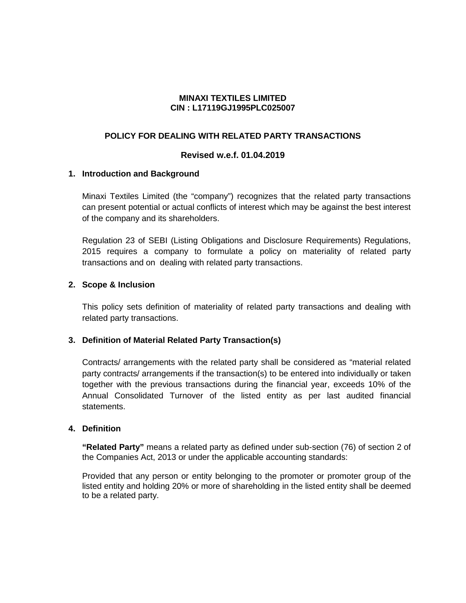### **MINAXI TEXTILES LIMITED CIN : L17119GJ1995PLC025007**

## **POLICY FOR DEALING WITH RELATED PARTY TRANSACTIONS**

### **Revised w.e.f. 01.04.2019**

### **1. Introduction and Background**

Minaxi Textiles Limited (the "company") recognizes that the related party transactions can present potential or actual conflicts of interest which may be against the best interest of the company and its shareholders.

Regulation 23 of SEBI (Listing Obligations and Disclosure Requirements) Regulations, 2015 requires a company to formulate a policy on materiality of related party transactions and on dealing with related party transactions.

# **2. Scope & Inclusion**

This policy sets definition of materiality of related party transactions and dealing with related party transactions.

### **3. Definition of Material Related Party Transaction(s)**

Contracts/ arrangements with the related party shall be considered as "material related party contracts/ arrangements if the transaction(s) to be entered into individually or taken together with the previous transactions during the financial year, exceeds 10% of the Annual Consolidated Turnover of the listed entity as per last audited financial statements.

### **4. Definition**

**"Related Party"** means a related party as defined under sub-section (76) of section 2 of the Companies Act, 2013 or under the applicable accounting standards:

Provided that any person or entity belonging to the promoter or promoter group of the listed entity and holding 20% or more of shareholding in the listed entity shall be deemed to be a related party.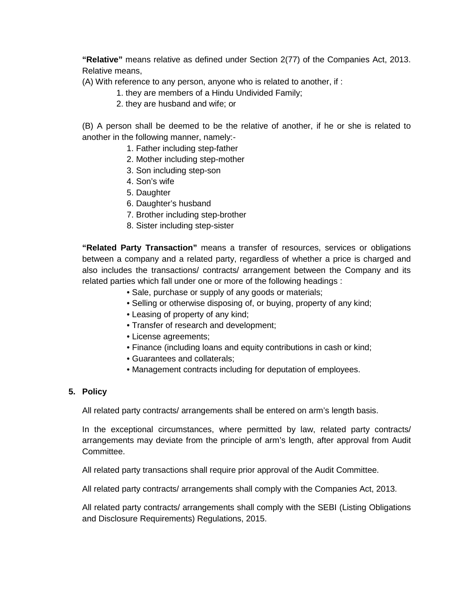**"Relative"** means relative as defined under Section 2(77) of the Companies Act, 2013. Relative means,

(A) With reference to any person, anyone who is related to another, if :

- 1. they are members of a Hindu Undivided Family;
- 2. they are husband and wife; or

(B) A person shall be deemed to be the relative of another, if he or she is related to another in the following manner, namely:-

- 1. Father including step-father
- 2. Mother including step-mother
- 3. Son including step-son
- 4. Son's wife
- 5. Daughter
- 6. Daughter's husband
- 7. Brother including step-brother
- 8. Sister including step-sister

**"Related Party Transaction"** means a transfer of resources, services or obligations between a company and a related party, regardless of whether a price is charged and also includes the transactions/ contracts/ arrangement between the Company and its related parties which fall under one or more of the following headings :

- Sale, purchase or supply of any goods or materials;
- Selling or otherwise disposing of, or buying, property of any kind;
- Leasing of property of any kind;
- Transfer of research and development;
- License agreements;
- Finance (including loans and equity contributions in cash or kind;
- Guarantees and collaterals;
- Management contracts including for deputation of employees.

### **5. Policy**

All related party contracts/ arrangements shall be entered on arm's length basis.

In the exceptional circumstances, where permitted by law, related party contracts/ arrangements may deviate from the principle of arm's length, after approval from Audit Committee.

All related party transactions shall require prior approval of the Audit Committee.

All related party contracts/ arrangements shall comply with the Companies Act, 2013.

All related party contracts/ arrangements shall comply with the SEBI (Listing Obligations and Disclosure Requirements) Regulations, 2015.